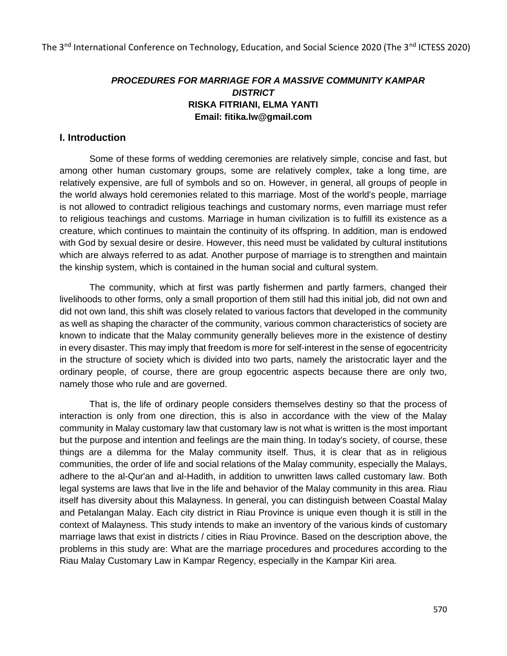# *PROCEDURES FOR MARRIAGE FOR A MASSIVE COMMUNITY KAMPAR DISTRICT*  **RISKA FITRIANI, ELMA YANTI Email: fitika.lw@gmail.com**

## **I. Introduction**

Some of these forms of wedding ceremonies are relatively simple, concise and fast, but among other human customary groups, some are relatively complex, take a long time, are relatively expensive, are full of symbols and so on. However, in general, all groups of people in the world always hold ceremonies related to this marriage. Most of the world's people, marriage is not allowed to contradict religious teachings and customary norms, even marriage must refer to religious teachings and customs. Marriage in human civilization is to fulfill its existence as a creature, which continues to maintain the continuity of its offspring. In addition, man is endowed with God by sexual desire or desire. However, this need must be validated by cultural institutions which are always referred to as adat. Another purpose of marriage is to strengthen and maintain the kinship system, which is contained in the human social and cultural system.

The community, which at first was partly fishermen and partly farmers, changed their livelihoods to other forms, only a small proportion of them still had this initial job, did not own and did not own land, this shift was closely related to various factors that developed in the community as well as shaping the character of the community, various common characteristics of society are known to indicate that the Malay community generally believes more in the existence of destiny in every disaster. This may imply that freedom is more for self-interest in the sense of egocentricity in the structure of society which is divided into two parts, namely the aristocratic layer and the ordinary people, of course, there are group egocentric aspects because there are only two, namely those who rule and are governed.

That is, the life of ordinary people considers themselves destiny so that the process of interaction is only from one direction, this is also in accordance with the view of the Malay community in Malay customary law that customary law is not what is written is the most important but the purpose and intention and feelings are the main thing. In today's society, of course, these things are a dilemma for the Malay community itself. Thus, it is clear that as in religious communities, the order of life and social relations of the Malay community, especially the Malays, adhere to the al-Qur'an and al-Hadith, in addition to unwritten laws called customary law. Both legal systems are laws that live in the life and behavior of the Malay community in this area. Riau itself has diversity about this Malayness. In general, you can distinguish between Coastal Malay and Petalangan Malay. Each city district in Riau Province is unique even though it is still in the context of Malayness. This study intends to make an inventory of the various kinds of customary marriage laws that exist in districts / cities in Riau Province. Based on the description above, the problems in this study are: What are the marriage procedures and procedures according to the Riau Malay Customary Law in Kampar Regency, especially in the Kampar Kiri area.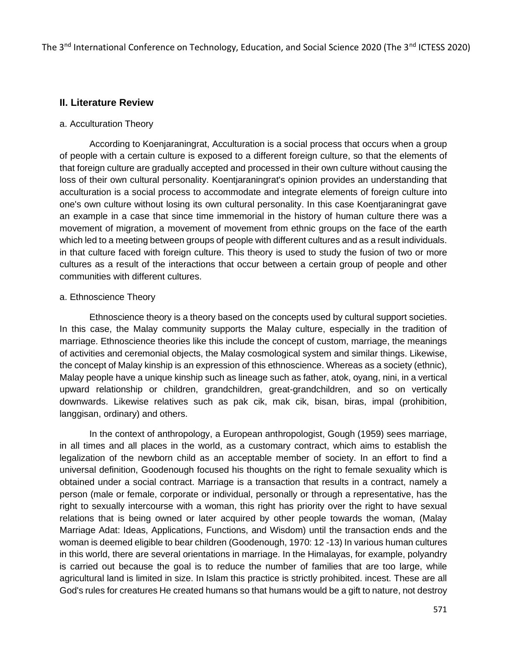## **II. Literature Review**

#### a. Acculturation Theory

According to Koenjaraningrat, Acculturation is a social process that occurs when a group of people with a certain culture is exposed to a different foreign culture, so that the elements of that foreign culture are gradually accepted and processed in their own culture without causing the loss of their own cultural personality. Koentjaraningrat's opinion provides an understanding that acculturation is a social process to accommodate and integrate elements of foreign culture into one's own culture without losing its own cultural personality. In this case Koentjaraningrat gave an example in a case that since time immemorial in the history of human culture there was a movement of migration, a movement of movement from ethnic groups on the face of the earth which led to a meeting between groups of people with different cultures and as a result individuals. in that culture faced with foreign culture. This theory is used to study the fusion of two or more cultures as a result of the interactions that occur between a certain group of people and other communities with different cultures.

#### a. Ethnoscience Theory

Ethnoscience theory is a theory based on the concepts used by cultural support societies. In this case, the Malay community supports the Malay culture, especially in the tradition of marriage. Ethnoscience theories like this include the concept of custom, marriage, the meanings of activities and ceremonial objects, the Malay cosmological system and similar things. Likewise, the concept of Malay kinship is an expression of this ethnoscience. Whereas as a society (ethnic), Malay people have a unique kinship such as lineage such as father, atok, oyang, nini, in a vertical upward relationship or children, grandchildren, great-grandchildren, and so on vertically downwards. Likewise relatives such as pak cik, mak cik, bisan, biras, impal (prohibition, langgisan, ordinary) and others.

In the context of anthropology, a European anthropologist, Gough (1959) sees marriage, in all times and all places in the world, as a customary contract, which aims to establish the legalization of the newborn child as an acceptable member of society. In an effort to find a universal definition, Goodenough focused his thoughts on the right to female sexuality which is obtained under a social contract. Marriage is a transaction that results in a contract, namely a person (male or female, corporate or individual, personally or through a representative, has the right to sexually intercourse with a woman, this right has priority over the right to have sexual relations that is being owned or later acquired by other people towards the woman, (Malay Marriage Adat: Ideas, Applications, Functions, and Wisdom) until the transaction ends and the woman is deemed eligible to bear children (Goodenough, 1970: 12 -13) In various human cultures in this world, there are several orientations in marriage. In the Himalayas, for example, polyandry is carried out because the goal is to reduce the number of families that are too large, while agricultural land is limited in size. In Islam this practice is strictly prohibited. incest. These are all God's rules for creatures He created humans so that humans would be a gift to nature, not destroy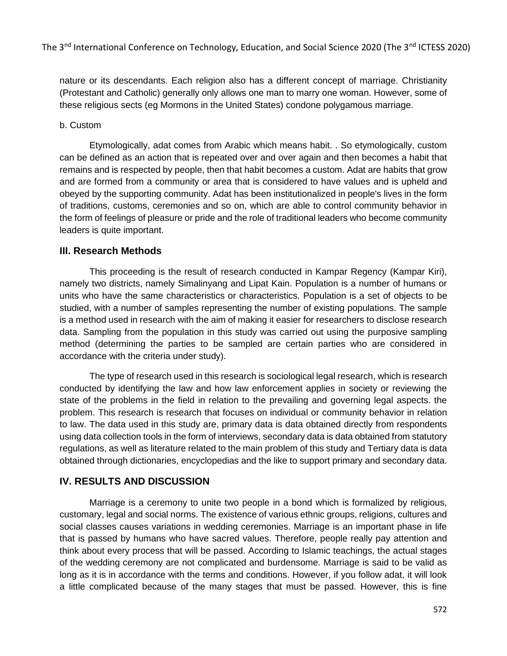nature or its descendants. Each religion also has a different concept of marriage. Christianity (Protestant and Catholic) generally only allows one man to marry one woman. However, some of these religious sects (eg Mormons in the United States) condone polygamous marriage.

### b. Custom

Etymologically, adat comes from Arabic which means habit. . So etymologically, custom can be defined as an action that is repeated over and over again and then becomes a habit that remains and is respected by people, then that habit becomes a custom. Adat are habits that grow and are formed from a community or area that is considered to have values and is upheld and obeyed by the supporting community. Adat has been institutionalized in people's lives in the form of traditions, customs, ceremonies and so on, which are able to control community behavior in the form of feelings of pleasure or pride and the role of traditional leaders who become community leaders is quite important.

# **III. Research Methods**

This proceeding is the result of research conducted in Kampar Regency (Kampar Kiri), namely two districts, namely Simalinyang and Lipat Kain. Population is a number of humans or units who have the same characteristics or characteristics. Population is a set of objects to be studied, with a number of samples representing the number of existing populations. The sample is a method used in research with the aim of making it easier for researchers to disclose research data. Sampling from the population in this study was carried out using the purposive sampling method (determining the parties to be sampled are certain parties who are considered in accordance with the criteria under study).

The type of research used in this research is sociological legal research, which is research conducted by identifying the law and how law enforcement applies in society or reviewing the state of the problems in the field in relation to the prevailing and governing legal aspects. the problem. This research is research that focuses on individual or community behavior in relation to law. The data used in this study are, primary data is data obtained directly from respondents using data collection tools in the form of interviews, secondary data is data obtained from statutory regulations, as well as literature related to the main problem of this study and Tertiary data is data obtained through dictionaries, encyclopedias and the like to support primary and secondary data.

# **IV. RESULTS AND DISCUSSION**

Marriage is a ceremony to unite two people in a bond which is formalized by religious, customary, legal and social norms. The existence of various ethnic groups, religions, cultures and social classes causes variations in wedding ceremonies. Marriage is an important phase in life that is passed by humans who have sacred values. Therefore, people really pay attention and think about every process that will be passed. According to Islamic teachings, the actual stages of the wedding ceremony are not complicated and burdensome. Marriage is said to be valid as long as it is in accordance with the terms and conditions. However, if you follow adat, it will look a little complicated because of the many stages that must be passed. However, this is fine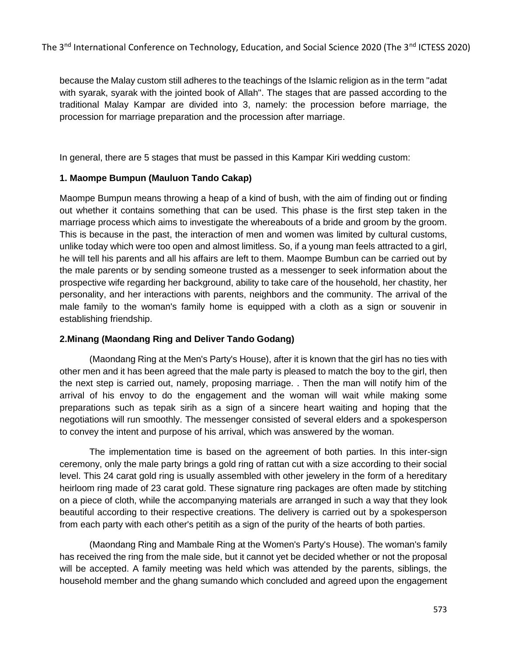because the Malay custom still adheres to the teachings of the Islamic religion as in the term "adat with syarak, syarak with the jointed book of Allah". The stages that are passed according to the traditional Malay Kampar are divided into 3, namely: the procession before marriage, the procession for marriage preparation and the procession after marriage.

In general, there are 5 stages that must be passed in this Kampar Kiri wedding custom:

## **1. Maompe Bumpun (Mauluon Tando Cakap)**

Maompe Bumpun means throwing a heap of a kind of bush, with the aim of finding out or finding out whether it contains something that can be used. This phase is the first step taken in the marriage process which aims to investigate the whereabouts of a bride and groom by the groom. This is because in the past, the interaction of men and women was limited by cultural customs, unlike today which were too open and almost limitless. So, if a young man feels attracted to a girl, he will tell his parents and all his affairs are left to them. Maompe Bumbun can be carried out by the male parents or by sending someone trusted as a messenger to seek information about the prospective wife regarding her background, ability to take care of the household, her chastity, her personality, and her interactions with parents, neighbors and the community. The arrival of the male family to the woman's family home is equipped with a cloth as a sign or souvenir in establishing friendship.

#### **2.Minang (Maondang Ring and Deliver Tando Godang)**

(Maondang Ring at the Men's Party's House), after it is known that the girl has no ties with other men and it has been agreed that the male party is pleased to match the boy to the girl, then the next step is carried out, namely, proposing marriage. . Then the man will notify him of the arrival of his envoy to do the engagement and the woman will wait while making some preparations such as tepak sirih as a sign of a sincere heart waiting and hoping that the negotiations will run smoothly. The messenger consisted of several elders and a spokesperson to convey the intent and purpose of his arrival, which was answered by the woman.

The implementation time is based on the agreement of both parties. In this inter-sign ceremony, only the male party brings a gold ring of rattan cut with a size according to their social level. This 24 carat gold ring is usually assembled with other jewelery in the form of a hereditary heirloom ring made of 23 carat gold. These signature ring packages are often made by stitching on a piece of cloth, while the accompanying materials are arranged in such a way that they look beautiful according to their respective creations. The delivery is carried out by a spokesperson from each party with each other's petitih as a sign of the purity of the hearts of both parties.

(Maondang Ring and Mambale Ring at the Women's Party's House). The woman's family has received the ring from the male side, but it cannot yet be decided whether or not the proposal will be accepted. A family meeting was held which was attended by the parents, siblings, the household member and the ghang sumando which concluded and agreed upon the engagement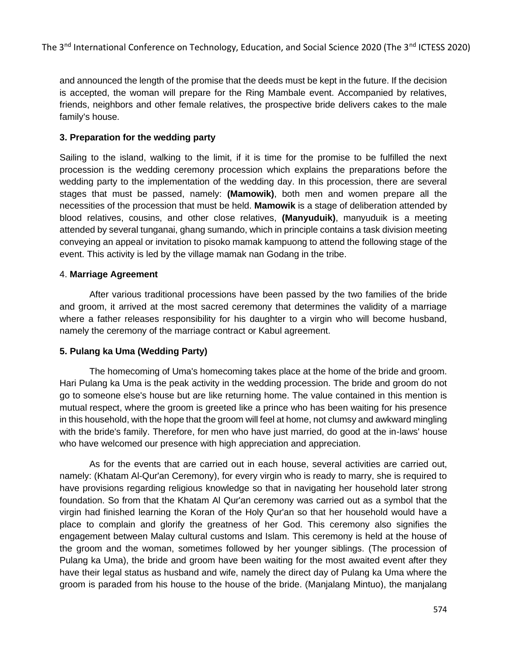and announced the length of the promise that the deeds must be kept in the future. If the decision is accepted, the woman will prepare for the Ring Mambale event. Accompanied by relatives, friends, neighbors and other female relatives, the prospective bride delivers cakes to the male family's house.

# **3. Preparation for the wedding party**

Sailing to the island, walking to the limit, if it is time for the promise to be fulfilled the next procession is the wedding ceremony procession which explains the preparations before the wedding party to the implementation of the wedding day. In this procession, there are several stages that must be passed, namely: **(Mamowik)**, both men and women prepare all the necessities of the procession that must be held. **Mamowik** is a stage of deliberation attended by blood relatives, cousins, and other close relatives, **(Manyuduik)**, manyuduik is a meeting attended by several tunganai, ghang sumando, which in principle contains a task division meeting conveying an appeal or invitation to pisoko mamak kampuong to attend the following stage of the event. This activity is led by the village mamak nan Godang in the tribe.

#### 4. **Marriage Agreement**

After various traditional processions have been passed by the two families of the bride and groom, it arrived at the most sacred ceremony that determines the validity of a marriage where a father releases responsibility for his daughter to a virgin who will become husband, namely the ceremony of the marriage contract or Kabul agreement.

# **5. Pulang ka Uma (Wedding Party)**

The homecoming of Uma's homecoming takes place at the home of the bride and groom. Hari Pulang ka Uma is the peak activity in the wedding procession. The bride and groom do not go to someone else's house but are like returning home. The value contained in this mention is mutual respect, where the groom is greeted like a prince who has been waiting for his presence in this household, with the hope that the groom will feel at home, not clumsy and awkward mingling with the bride's family. Therefore, for men who have just married, do good at the in-laws' house who have welcomed our presence with high appreciation and appreciation.

As for the events that are carried out in each house, several activities are carried out, namely: (Khatam Al-Qur'an Ceremony), for every virgin who is ready to marry, she is required to have provisions regarding religious knowledge so that in navigating her household later strong foundation. So from that the Khatam Al Qur'an ceremony was carried out as a symbol that the virgin had finished learning the Koran of the Holy Qur'an so that her household would have a place to complain and glorify the greatness of her God. This ceremony also signifies the engagement between Malay cultural customs and Islam. This ceremony is held at the house of the groom and the woman, sometimes followed by her younger siblings. (The procession of Pulang ka Uma), the bride and groom have been waiting for the most awaited event after they have their legal status as husband and wife, namely the direct day of Pulang ka Uma where the groom is paraded from his house to the house of the bride. (Manjalang Mintuo), the manjalang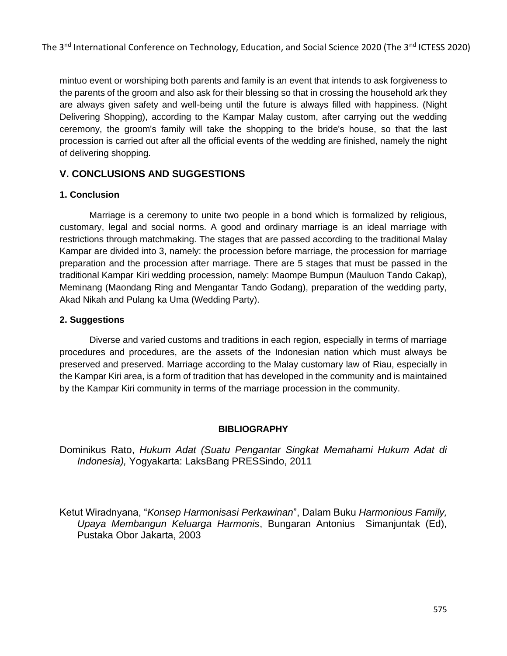The 3<sup>nd</sup> International Conference on Technology, Education, and Social Science 2020 (The 3<sup>nd</sup> ICTESS 2020)

mintuo event or worshiping both parents and family is an event that intends to ask forgiveness to the parents of the groom and also ask for their blessing so that in crossing the household ark they are always given safety and well-being until the future is always filled with happiness. (Night Delivering Shopping), according to the Kampar Malay custom, after carrying out the wedding ceremony, the groom's family will take the shopping to the bride's house, so that the last procession is carried out after all the official events of the wedding are finished, namely the night of delivering shopping.

# **V. CONCLUSIONS AND SUGGESTIONS**

## **1. Conclusion**

Marriage is a ceremony to unite two people in a bond which is formalized by religious, customary, legal and social norms. A good and ordinary marriage is an ideal marriage with restrictions through matchmaking. The stages that are passed according to the traditional Malay Kampar are divided into 3, namely: the procession before marriage, the procession for marriage preparation and the procession after marriage. There are 5 stages that must be passed in the traditional Kampar Kiri wedding procession, namely: Maompe Bumpun (Mauluon Tando Cakap), Meminang (Maondang Ring and Mengantar Tando Godang), preparation of the wedding party, Akad Nikah and Pulang ka Uma (Wedding Party).

## **2. Suggestions**

Diverse and varied customs and traditions in each region, especially in terms of marriage procedures and procedures, are the assets of the Indonesian nation which must always be preserved and preserved. Marriage according to the Malay customary law of Riau, especially in the Kampar Kiri area, is a form of tradition that has developed in the community and is maintained by the Kampar Kiri community in terms of the marriage procession in the community.

#### **BIBLIOGRAPHY**

Dominikus Rato, *Hukum Adat (Suatu Pengantar Singkat Memahami Hukum Adat di Indonesia),* Yogyakarta: LaksBang PRESSindo, 2011

Ketut Wiradnyana, "*Konsep Harmonisasi Perkawinan*", Dalam Buku *Harmonious Family, Upaya Membangun Keluarga Harmonis*, Bungaran Antonius Simanjuntak (Ed), Pustaka Obor Jakarta, 2003